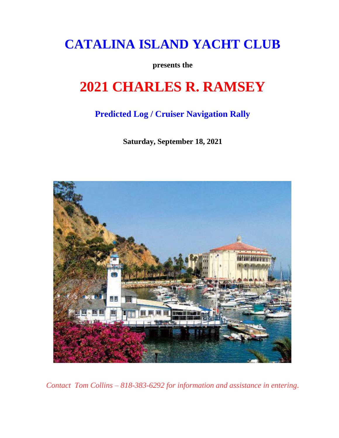## **CATALINA ISLAND YACHT CLUB**

**presents the**

# **2021 CHARLES R. RAMSEY**

## **Predicted Log / Cruiser Navigation Rally**

**Saturday, September 18, 2021**



*Contact Tom Collins – 818-383-6292 for information and assistance in entering.*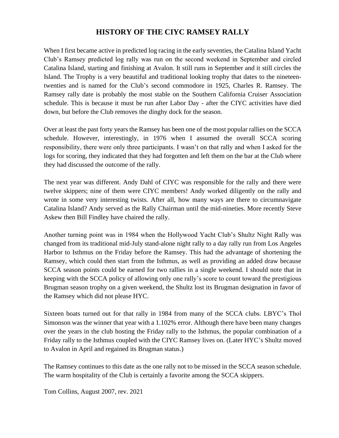#### **HISTORY OF THE CIYC RAMSEY RALLY**

When I first became active in predicted log racing in the early seventies, the Catalina Island Yacht Club's Ramsey predicted log rally was run on the second weekend in September and circled Catalina Island, starting and finishing at Avalon. It still runs in September and it still circles the Island. The Trophy is a very beautiful and traditional looking trophy that dates to the nineteentwenties and is named for the Club's second commodore in 1925, Charles R. Ramsey. The Ramsey rally date is probably the most stable on the Southern California Cruiser Association schedule. This is because it must be run after Labor Day - after the CIYC activities have died down, but before the Club removes the dinghy dock for the season.

Over at least the past forty years the Ramsey has been one of the most popular rallies on the SCCA schedule. However, interestingly, in 1976 when I assumed the overall SCCA scoring responsibility, there were only three participants. I wasn't on that rally and when I asked for the logs for scoring, they indicated that they had forgotten and left them on the bar at the Club where they had discussed the outcome of the rally.

The next year was different. Andy Dahl of CIYC was responsible for the rally and there were twelve skippers; nine of them were CIYC members! Andy worked diligently on the rally and wrote in some very interesting twists. After all, how many ways are there to circumnavigate Catalina Island? Andy served as the Rally Chairman until the mid-nineties. More recently Steve Askew then Bill Findley have chaired the rally.

Another turning point was in 1984 when the Hollywood Yacht Club's Shultz Night Rally was changed from its traditional mid-July stand-alone night rally to a day rally run from Los Angeles Harbor to Isthmus on the Friday before the Ramsey. This had the advantage of shortening the Ramsey, which could then start from the Isthmus, as well as providing an added draw because SCCA season points could be earned for two rallies in a single weekend. I should note that in keeping with the SCCA policy of allowing only one rally's score to count toward the prestigious Brugman season trophy on a given weekend, the Shultz lost its Brugman designation in favor of the Ramsey which did not please HYC.

Sixteen boats turned out for that rally in 1984 from many of the SCCA clubs. LBYC's Thol Simonson was the winner that year with a 1.102% error. Although there have been many changes over the years in the club hosting the Friday rally to the Isthmus, the popular combination of a Friday rally to the Isthmus coupled with the CIYC Ramsey lives on. (Later HYC's Shultz moved to Avalon in April and regained its Brugman status.)

The Ramsey continues to this date as the one rally not to be missed in the SCCA season schedule. The warm hospitality of the Club is certainly a favorite among the SCCA skippers.

Tom Collins, August 2007, rev. 2021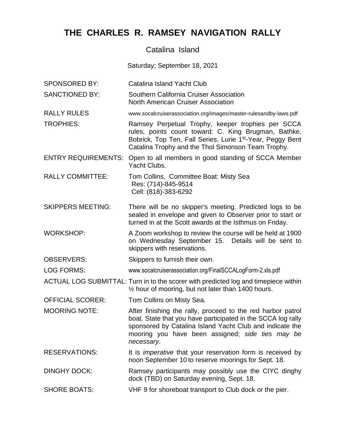### **THE CHARLES R. RAMSEY NAVIGATION RALLY**

#### Catalina Island

Saturday; September 18, 2021

- SPONSORED BY: Catalina Island Yacht Club
- SANCTIONED BY: Southern California Cruiser Association North American Cruiser Association
- RALLY RULES www.socalcruiserassociation.org/images/master-rulesandby-laws.pdf
- TROPHIES: Ramsey Perpetual Trophy, keeper trophies per SCCA rules, points count toward: C. King Brugman, Bathke, Bobrick, Top Ten, Fall Series, Lurie 1<sup>st</sup>-Year, Peggy Bent Catalina Trophy and the Thol Simonson Team Trophy.
- ENTRY REQUIREMENTS: Open to all members in good standing of SCCA Member Yacht Clubs.
- RALLY COMMITTEE: Tom Collins, Committee Boat: Misty Sea Res: (714)-845-9514 Cell: (818)-383-6292
- SKIPPERS MEETING: There will be no skipper's meeting. Predicted logs to be sealed in envelope and given to Observer prior to start or turned in at the Scott awards at the Isthmus on Friday.
- WORKSHOP: A Zoom workshop to review the course will be held at 1900 on Wednesday September 15. Details will be sent to skippers with reservations.
- OBSERVERS: Skippers to furnish their own.
- LOG FORMS: www.socalcruiserassociation.org/FinalSCCALogForm-2.xls.pdf
- ACTUAL LOG SUBMITTAL: Turn in to the scorer with predicted log and timepiece within ½ hour of mooring, but not later than 1400 hours.
- OFFICIAL SCORER: Tom Collins on Misty Sea.
- MOORING NOTE: After finishing the rally, proceed to the red harbor patrol boat. State that you have participated in the SCCA log rally sponsored by Catalina Island Yacht Club and indicate the mooring you have been assigned; *side ties may be necessary*.
- RESERVATIONS: It is *imperative* that your reservation form is received by noon September 10 to reserve moorings for Sept. 18.
- DINGHY DOCK: Ramsey participants may possibly use the CIYC dinghy dock (TBD) on Saturday evening, Sept. 18.
- SHORE BOATS: VHF 9 for shoreboat transport to Club dock or the pier.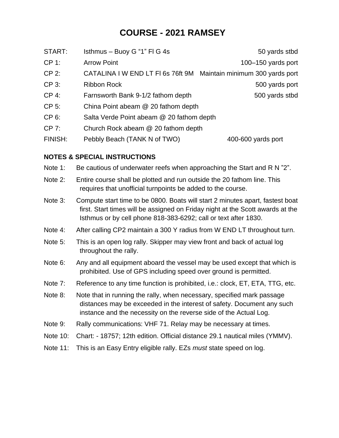### **COURSE - 2021 RAMSEY**

| START:   | Isthmus - Buoy G "1" FI G 4s                                      | 50 yards stbd      |
|----------|-------------------------------------------------------------------|--------------------|
| CP 1:    | <b>Arrow Point</b>                                                | 100-150 yards port |
| $CP 2$ : | CATALINA I W END LT FI 6s 76ft 9M Maintain minimum 300 yards port |                    |
| CP 3:    | <b>Ribbon Rock</b>                                                | 500 yards port     |
| CP 4:    | Farnsworth Bank 9-1/2 fathom depth                                | 500 yards stbd     |
| CP 5:    | China Point abeam @ 20 fathom depth                               |                    |
| CP 6:    | Salta Verde Point abeam @ 20 fathom depth                         |                    |
| CP 7:    | Church Rock abeam @ 20 fathom depth                               |                    |

FINISH: Pebbly Beach (TANK N of TWO) 400-600 yards port

#### **NOTES & SPECIAL INSTRUCTIONS**

- Note 1: Be cautious of underwater reefs when approaching the Start and R N "2".
- Note 2: Entire course shall be plotted and run outside the 20 fathom line. This requires that unofficial turnpoints be added to the course.
- Note 3: Compute start time to be 0800. Boats will start 2 minutes apart, fastest boat first. Start times will be assigned on Friday night at the Scott awards at the Isthmus or by cell phone 818-383-6292; call or text after 1830.
- Note 4: After calling CP2 maintain a 300 Y radius from W END LT throughout turn.
- Note 5: This is an open log rally. Skipper may view front and back of actual log throughout the rally.
- Note 6: Any and all equipment aboard the vessel may be used except that which is prohibited. Use of GPS including speed over ground is permitted.
- Note 7: Reference to any time function is prohibited, i.e.: clock, ET, ETA, TTG, etc.
- Note 8: Note that in running the rally, when necessary, specified mark passage distances may be exceeded in the interest of safety. Document any such instance and the necessity on the reverse side of the Actual Log.
- Note 9: Rally communications: VHF 71. Relay may be necessary at times.
- Note 10: Chart: 18757; 12th edition. Official distance 29.1 nautical miles (YMMV).
- Note 11: This is an Easy Entry eligible rally. EZs *must* state speed on log.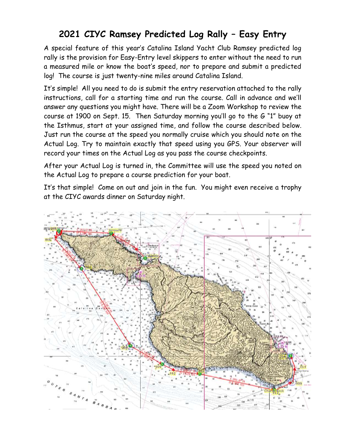## **2021 CIYC Ramsey Predicted Log Rally – Easy Entry**

A special feature of this year's Catalina Island Yacht Club Ramsey predicted log rally is the provision for Easy-Entry level skippers to enter without the need to run a measured mile or know the boat's speed, nor to prepare and submit a predicted log! The course is just twenty-nine miles around Catalina Island.

It's simple! All you need to do is submit the entry reservation attached to the rally instructions, call for a starting time and run the course. Call in advance and we'll answer any questions you might have. There will be a Zoom Workshop to review the course at 1900 on Sept. 15. Then Saturday morning you'll go to the G "1" buoy at the Isthmus, start at your assigned time, and follow the course described below. Just run the course at the speed you normally cruise which you should note on the Actual Log. Try to maintain exactly that speed using you GPS. Your observer will record your times on the Actual Log as you pass the course checkpoints.

After your Actual Log is turned in, the Committee will use the speed you noted on the Actual Log to prepare a course prediction for your boat.

It's that simple! Come on out and join in the fun. You might even receive a trophy at the CIYC awards dinner on Saturday night.